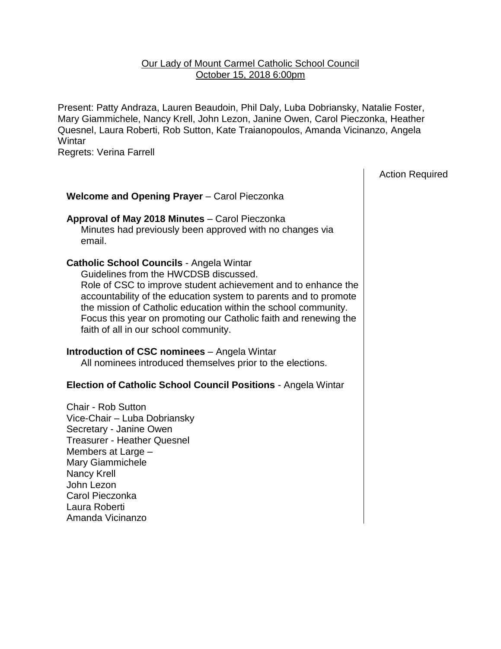#### Our Lady of Mount Carmel Catholic School Council October 15, 2018 6:00pm

Present: Patty Andraza, Lauren Beaudoin, Phil Daly, Luba Dobriansky, Natalie Foster, Mary Giammichele, Nancy Krell, John Lezon, Janine Owen, Carol Pieczonka, Heather Quesnel, Laura Roberti, Rob Sutton, Kate Traianopoulos, Amanda Vicinanzo, Angela **Wintar** 

Regrets: Verina Farrell

Action Required

# **Welcome and Opening Prayer** – Carol Pieczonka

**Approval of May 2018 Minutes** – Carol Pieczonka Minutes had previously been approved with no changes via email.

#### **Catholic School Councils** - Angela Wintar

Guidelines from the HWCDSB discussed. Role of CSC to improve student achievement and to enhance the accountability of the education system to parents and to promote the mission of Catholic education within the school community. Focus this year on promoting our Catholic faith and renewing the faith of all in our school community.

#### **Introduction of CSC nominees** – Angela Wintar

All nominees introduced themselves prior to the elections.

# **Election of Catholic School Council Positions** - Angela Wintar

Chair - Rob Sutton Vice-Chair – Luba Dobriansky Secretary - Janine Owen Treasurer - Heather Quesnel Members at Large – Mary Giammichele Nancy Krell John Lezon Carol Pieczonka Laura Roberti Amanda Vicinanzo